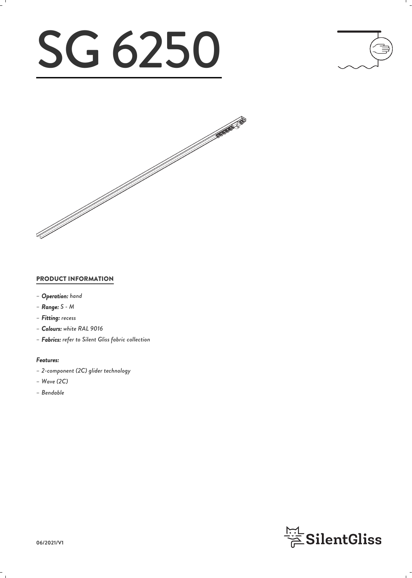# SG 6250





#### PRODUCT INFORMATION

- *– Operation: hand*
- *– Range: S M*
- *– Fitting: recess*
- *– Colours: white RAL 9016*
- *– Fabrics: refer to Silent Gliss fabric collection*

#### *Features:*

- *– 2-component (2C) glider technology*
- *– Wave (2C)*
- *– Bendable*

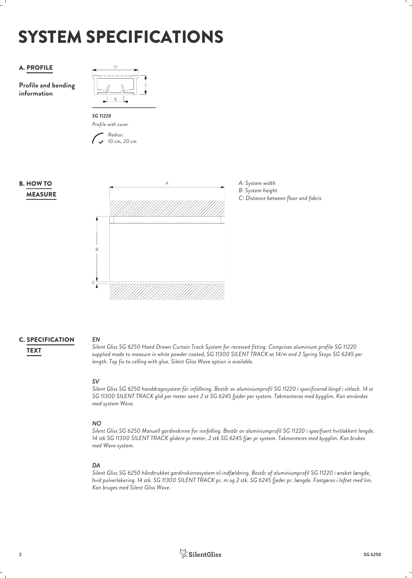# SYSTEM SPECIFICATIONS

## A. PROFILE

**Profile and bending information**







- *A: System width B: System height*
- *C: Distance between floor and fabric*

## **C. SPECIFICATION** EN

*EN Silent Gliss SG 6250 Hand Drawn Curtain Track System for recessed fitting. Comprises aluminium profile SG 11220 supplied made to measure in white powder coated, SG 11300 SILENT TRACK at 14/m and 2 Spring Stops SG 6245 per* TEXT *length. Top fix to celling with glue. Silent Gliss Wave option is available.*

*SV Silent Gliss SG 6250 handdragssystem för infällning. Består av aluminiumprofil SG 11220 i specificerad längd i vitlack. 14 st SG 11300 SILENT TRACK glid per meter samt 2 st SG 6245 fjäder per system. Takmonteras med bygglim. Kan användas med system Wave.*

*NO Silent Gliss SG 6250 Manuell gardinskinne for innfelling. Består av aluminiumprofil SG 11220 i spesifisert hvitlakkert lengde. 14 stk SG 11300 SILENT TRACK glidere pr meter, 2 stk SG 6245 fjær pr system. Takmonteres med bygglim. Kan brukes med Wave system.*

*DA Silent Gliss SG 6250 håndtrukket gardinskinnesystem til indfældning. Består af aluminiumprofil SG 11220 i ønsket længde, hvid pulverlakering. 14 stk. SG 11300 SILENT TRACK pr. m og 2 stk. SG 6245 fjeder pr. længde. Fastgøres i loftet med lim. Kan bruges med Silent Gliss Wave.*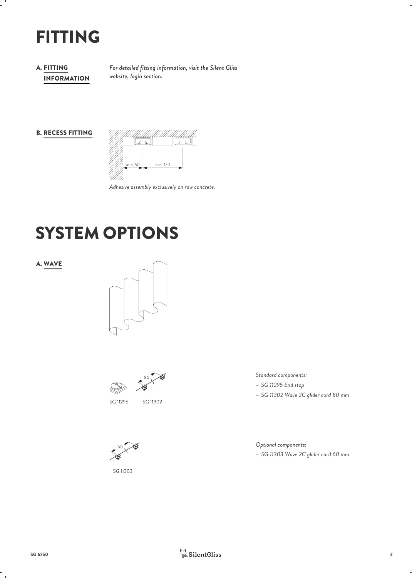# FITTING

## INFORMATION **A. FITTING**

*For detailed fitting information, visit the Silent Gliss* FITTING *website, login section.*

#### B. RECESS FITTING



*Adhesive assembly exclusively on raw concrete.*

## SYSTEM OPTIONS

A. WAVE





SG 11295

SG 11302



SG 11303

*Standard components:*

- *– SG 11295 End stop*
- *– SG 11302 Wave 2C glider cord 80 mm*

*Optional components: – SG 11303 Wave 2C glider cord 60 mm*

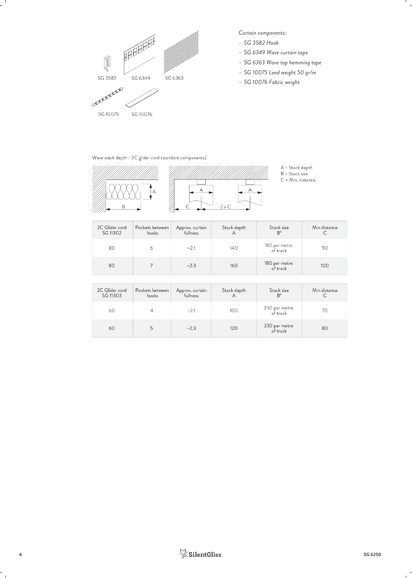

- *– SG 6349 Wave curtain tape*
- *– SG 6363 Wave top hemming tape*
- *– SG 10075 Lead weight 50 gr/m*
- *– SG 10076 Fabric weight*

Wave stack depth - 2C glider cord (standard components)





- 
- A = Stack depth<br>B = Stack size<br>C = Min. distance

| 2C Glider cord<br>SG 11302 | Pockets between<br>hooks | Approx. curtain<br>fullness | Stack depth | Stack size<br>$B^*$       | Min distance |
|----------------------------|--------------------------|-----------------------------|-------------|---------------------------|--------------|
| 80                         | 6                        | ~2.1                        | 140         | 180 per metre<br>of track | 90           |
| 80                         |                          | ~2.3                        | 160         | 180 per metre<br>of track | 100          |

| 2C Glider cord<br>SG 11303 | Pockets between<br>hooks | Approx. curtain<br>fullness | Stack depth | Stack size<br>$B^*$       | Min distance |
|----------------------------|--------------------------|-----------------------------|-------------|---------------------------|--------------|
| 60                         |                          | ~2.1                        | 100         | 230 per metre<br>of track | 70           |
| 60                         |                          | ~2.3                        | 120         | 230 per metre<br>of track | 80           |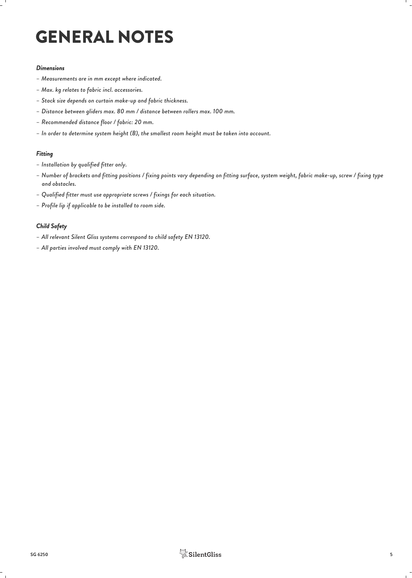# GENERAL NOTES

#### *Dimensions*

- *– Measurements are in mm except where indicated.*
- *– Max. kg relates to fabric incl. accessories.*
- *– Stack size depends on curtain make-up and fabric thickness.*
- *– Distance between gliders max. 80 mm / distance between rollers max. 100 mm.*
- *– Recommended distance floor / fabric: 20 mm.*
- *– In order to determine system height (B), the smallest room height must be taken into account.*

#### *Fitting*

- *– Installation by qualified fitter only.*
- *– Number of brackets and fitting positions / fixing points vary depending on fitting surface, system weight, fabric make-up, screw / fixing type and obstacles.*
- *– Qualified fitter must use appropriate screws / fixings for each situation.*
- *– Profile lip if applicable to be installed to room side.*

#### *Child Safety*

- *– All relevant Silent Gliss systems correspond to child safety EN 13120.*
- *– All parties involved must comply with EN 13120.*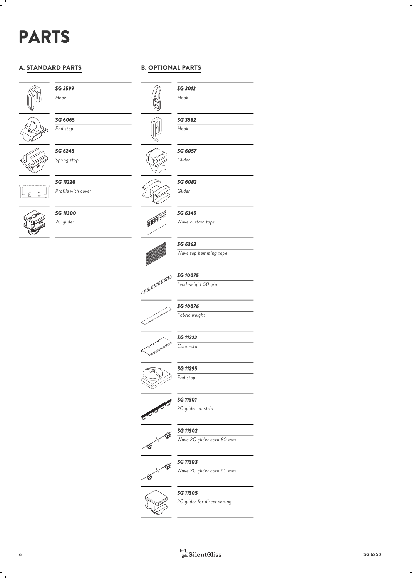# PARTS

#### A. STANDARD PARTS



*SG 3599 Hook*



*SG 6065 End stop*

*SG 6245*

*SG 11220*



**SG 11300**<br>2C glider **SG 11300** *2C glider*

*Spring stop*

*Profile with cover*



*SG 6363*

*SG 10075*

*SG 10076 Fabric weight*

*SG 11295 End stop*

*Wave top hemming tape*

*Lead weight 50 g/m*



B. OPTIONAL PARTS

*SG 3012 Hook*

*SG 3582 Hook*

*SG 6057 Glider*

*SG 6082 Glider*

*SG 6349 Wave curtain tape*

## *SG 11222 Connector*



*SG 11301 2C glider on strip*



*SG 11302 Wave 2C glider cord 80 mm*

## *SG 11303*

*Wave 2C glider cord 60 mm*



*SG 11305*

*2C glider for direct sewing*



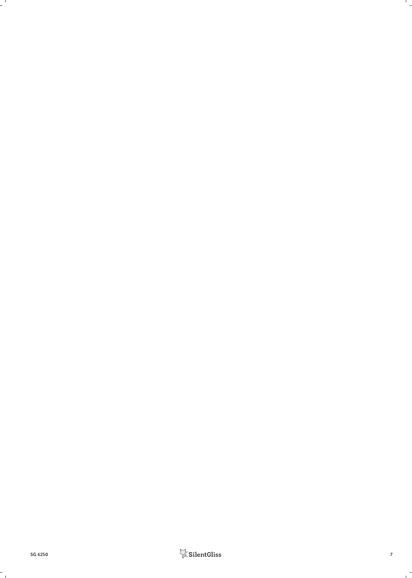